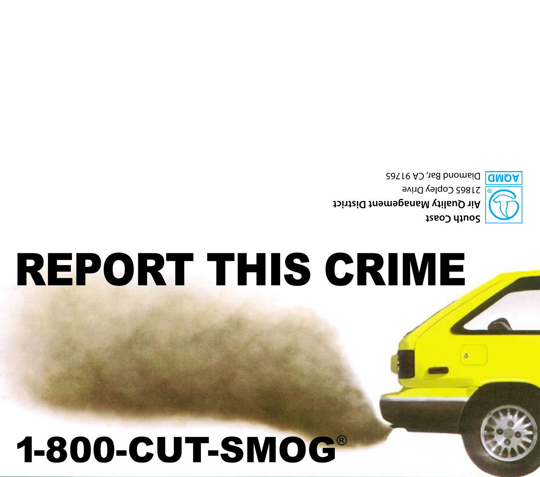### 1-800-CUT-SMOG®

# REPORT THIS CRIME

**South Coast Air Quality Management District** 21865 Copley Drive **DOMD** Diamond Bar, CA 91765